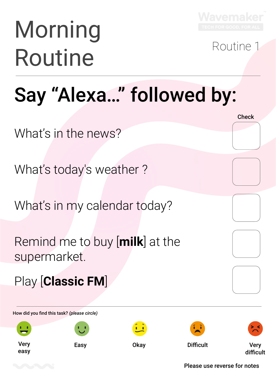

# Morning Routine Routine

**Check** 

#### Say "Alexa…" followed by:

What's in the news?

What's today's weather ?

What's in my calendar today?

Remind me to buy [**milk**] at the supermarket.

Play [**Classic FM**]

How did you find this task? *(please circle)*

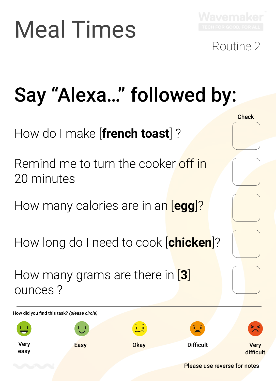# Meal Times



#### Routine 2

**Check** 

### Say "Alexa…" followed by:

How do I make [**french toast**] ?

Remind me to turn the cooker off in 20 minutes

How many calories are in an [**egg**]?

How long do I need to cook [**chicken**]?

How many grams are there in [**3**] ounces ?

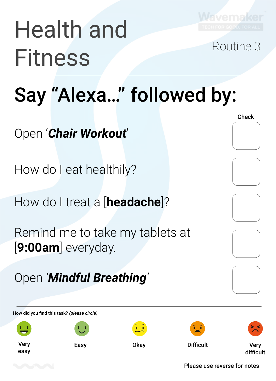

# Health and Fitness Routine 3

#### Say "Alexa…" followed by:

Open '*Chair Workout*'

How do I eat healthily?

How do I treat a [**headache**]?

Remind me to take my tablets at [**9:00am**] everyday.

Open *'Mindful Breathing'*

How did you find this task? *(please circle)*



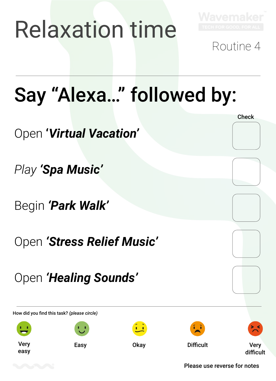## Relaxation time



Routine 4

**Check** 

### Say "Alexa…" followed by:

Open **'***Virtual Vacation'*

*Play 'Spa Music'*

Begin *'Park Walk'*

Open *'Stress Relief Music'*

Open *'Healing Sounds'*

How did you find this task? *(please circle)*

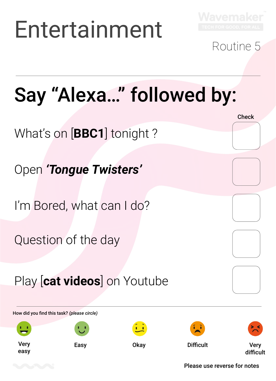## Entertainment



#### Routine 5

**Check** 

### Say "Alexa…" followed by:

What's on [**BBC1**] tonight ?

Open *'Tongue Twisters'*

I'm Bored, what can I do?

Question of the day

Play [**cat videos**] on Youtube

How did you find this task? *(please circle)*